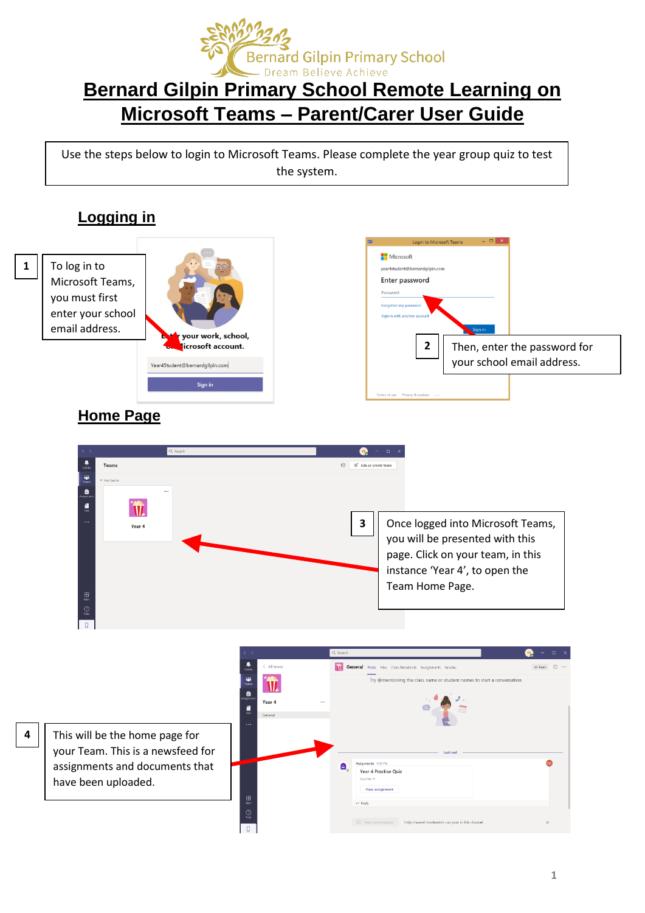

## **Bernard Gilpin Primary School Remote Learning on Microsoft Teams – Parent/Carer User Guide**

Use the steps below to login to Microsoft Teams. Please complete the year group quiz to test the system.

## **Logging in**



enter your school vour work, school. licrosoft account. Year4Student@bernardgilpin.com Sign in



## **Home Page**

email address.



**4**

This will be the home page for your Team. This is a newsfeed for assignments and documents that have been uploaded.

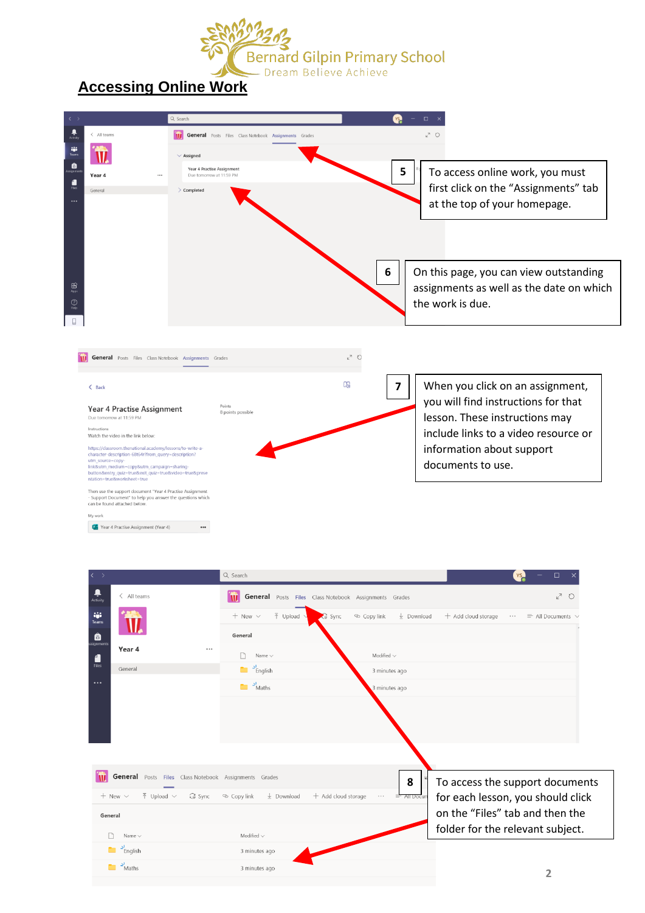

## **Accessing Online Work**



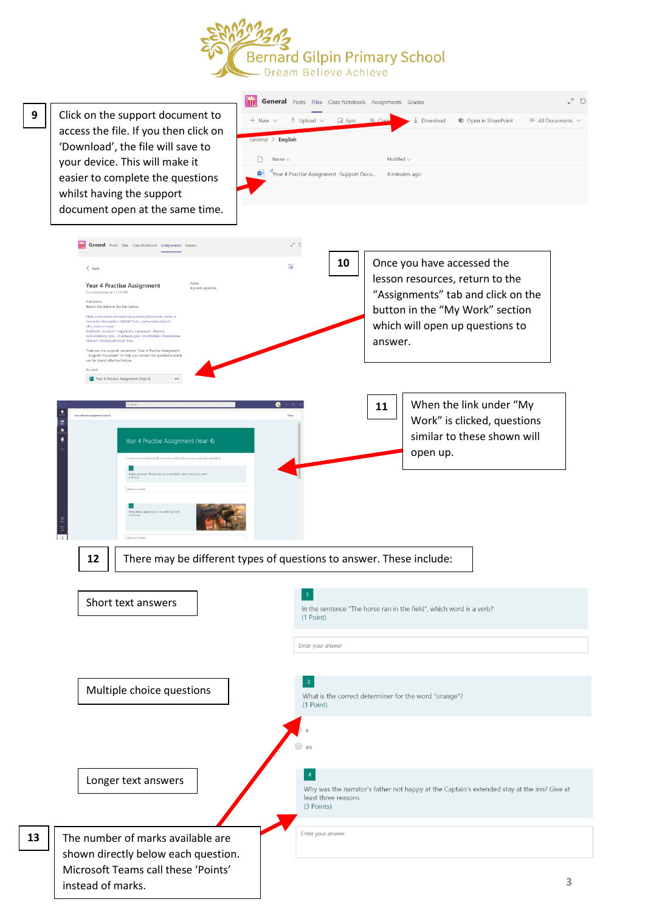